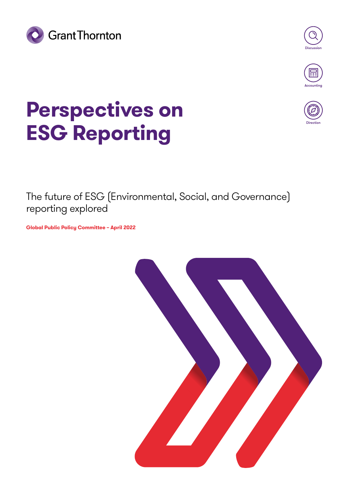





# **Perspectives on ESG Reporting**



The future of ESG (Environmental, Social, and Governance) reporting explored

**Global Public Policy Committee – April 2022**

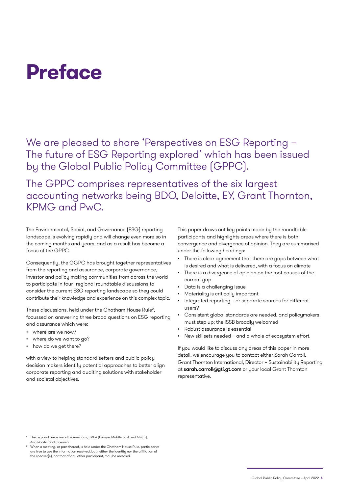# **Preface**

We are pleased to share 'Perspectives on ESG Reporting – The future of ESG Reporting explored' which has been issued by the Global Public Policy Committee (GPPC).

The GPPC comprises representatives of the six largest accounting networks being BDO, Deloitte, EY, Grant Thornton, KPMG and PwC.

The Environmental, Social, and Governance (ESG) reporting landscape is evolving rapidly and will change even more so in the coming months and years, and as a result has become a focus of the GPPC.

Consequently, the GGPC has brought together representatives from the reporting and assurance, corporate governance, investor and policy making communities from across the world to participate in four<sup>1</sup> regional roundtable discussions to consider the current ESG reporting landscape so they could contribute their knowledge and experience on this complex topic.

These discussions, held under the Chatham House Rule<sup>2</sup>, focussed on answering three broad questions on ESG reporting and assurance which were:

- where are we now?
- where do we want to go?
- how do we get there?

with a view to helping standard setters and public policy decision makers identify potential approaches to better align corporate reporting and auditing solutions with stakeholder and societal objectives.

This paper draws out key points made by the roundtable participants and highlights areas where there is both convergence and divergence of opinion. They are summarised under the following headings:

- There is clear agreement that there are gaps between what is desired and what is delivered, with a focus on climate
- There is a divergence of opinion on the root causes of the current gap
- Data is a challenging issue
- Materiality is critically important
- Integrated reporting or separate sources for different users?
- Consistent global standards are needed, and policymakers must step up; the ISSB broadly welcomed
- Robust assurance is essential
- New skillsets needed and a whole of ecosystem effort.

If you would like to discuss any areas of this paper in more detail, we encourage you to contact either Sarah Carroll, Grant Thornton International, Director – Sustainability Reporting at [sarah.carroll@gti.gt.com](mailto:sarah.carroll%40gti.gt.com?subject=) or your local Grant Thornton representative.

<sup>1</sup> The regional areas were the Americas, EMEA (Europe, Middle East and Africa), Asia Pacific and Oceania

<sup>2</sup> When a meeting, or part thereof, is held under the Chatham House Rule, participants are free to use the information received, but neither the identity nor the affiliation of the speaker(s), nor that of any other participant, may be revealed.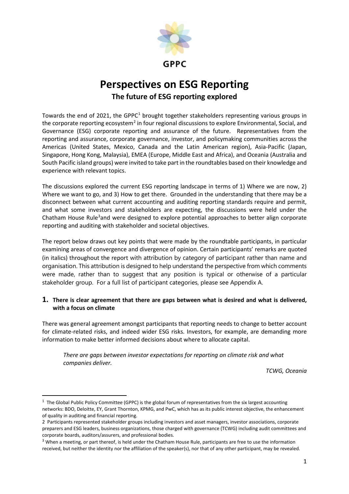

### **Perspectives on ESG Reporting The future of ESG reporting explored**

Towards the end of 202[1](#page-2-0), the GPPC<sup>1</sup> brought together stakeholders representing various groups in the corporate reporting ecosystem<sup>[2](#page-2-1)</sup> in four regional discussions to explore Environmental, Social, and Governance (ESG) corporate reporting and assurance of the future. Representatives from the reporting and assurance, corporate governance, investor, and policymaking communities across the Americas (United States, Mexico, Canada and the Latin American region), Asia-Pacific (Japan, Singapore, Hong Kong, Malaysia), EMEA (Europe, Middle East and Africa), and Oceania (Australia and South Pacific island groups) were invited to take part in the roundtables based on their knowledge and experience with relevant topics.

The discussions explored the current ESG reporting landscape in terms of 1) Where we are now, 2) Where we want to go, and 3) How to get there. Grounded in the understanding that there may be a disconnect between what current accounting and auditing reporting standards require and permit, and what some investors and stakeholders are expecting, the discussions were held under the Chatham House Rule<sup>[3](#page-2-2)</sup>and were designed to explore potential approaches to better align corporate reporting and auditing with stakeholder and societal objectives.

The report below draws out key points that were made by the roundtable participants, in particular examining areas of convergence and divergence of opinion. Certain participants' remarks are quoted (in italics) throughout the report with attribution by category of participant rather than name and organisation. This attribution is designed to help understand the perspective from which comments were made, rather than to suggest that any position is typical or otherwise of a particular stakeholder group. For a full list of participant categories, please see Appendix A.

#### **1. There is clear agreement that there are gaps between what is desired and what is delivered, with a focus on climate**

There was general agreement amongst participants that reporting needs to change to better account for climate-related risks, and indeed wider ESG risks. Investors, for example, are demanding more information to make better informed decisions about where to allocate capital.

*There are gaps between investor expectations for reporting on climate risk and what companies deliver.*

*TCWG, Oceania*

<span id="page-2-0"></span> $1$  The Global Public Policy Committee (GPPC) is the global forum of representatives from the six largest accounting networks: BDO, Deloitte, EY, Grant Thornton, KPMG, and PwC, which has as its public interest objective, the enhancement of quality in auditing and financial reporting.

<span id="page-2-1"></span><sup>2</sup> Participants represented stakeholder groups including investors and asset managers, investor associations, corporate preparers and ESG leaders, business organizations, those charged with governance (TCWG) including audit committees and corporate boards, auditors/assurers, and professional bodies.

<span id="page-2-2"></span><sup>&</sup>lt;sup>3</sup> When a meeting, or part thereof, is held under the Chatham House Rule, participants are free to use the information received, but neither the identity nor the affiliation of the speaker(s), nor that of any other participant, may be revealed.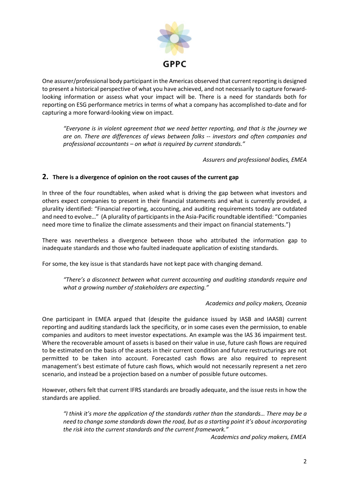

One assurer/professional body participant in the Americas observed that current reporting is designed to present a historical perspective of what you have achieved, and not necessarily to capture forwardlooking information or assess what your impact will be. There is a need for standards both for reporting on ESG performance metrics in terms of what a company has accomplished to-date and for capturing a more forward-looking view on impact.

*"Everyone is in violent agreement that we need better reporting, and that is the journey we are on. There are differences of views between folks -- investors and often companies and professional accountants – on what is required by current standards."*

*Assurers and professional bodies, EMEA*

#### **2. There is a divergence of opinion on the root causes of the current gap**

In three of the four roundtables, when asked what is driving the gap between what investors and others expect companies to present in their financial statements and what is currently provided, a plurality identified: "Financial reporting, accounting, and auditing requirements today are outdated and need to evolve…" (A plurality of participants in the Asia-Pacific roundtable identified: "Companies need more time to finalize the climate assessments and their impact on financial statements.")

There was nevertheless a divergence between those who attributed the information gap to inadequate standards and those who faulted inadequate application of existing standards.

For some, the key issue is that standards have not kept pace with changing demand.

*"There's a disconnect between what current accounting and auditing standards require and what a growing number of stakeholders are expecting."*

#### *Academics and policy makers, Oceania*

One participant in EMEA argued that (despite the guidance issued by IASB and IAASB) current reporting and auditing standards lack the specificity, or in some cases even the permission, to enable companies and auditors to meet investor expectations. An example was the IAS 36 impairment test. Where the recoverable amount of assets is based on their value in use, future cash flows are required to be estimated on the basis of the assets in their current condition and future restructurings are not permitted to be taken into account. Forecasted cash flows are also required to represent management's best estimate of future cash flows, which would not necessarily represent a net zero scenario, and instead be a projection based on a number of possible future outcomes.

However, others felt that current IFRS standards are broadly adequate, and the issue rests in how the standards are applied.

*"I think it's more the application of the standards rather than the standards… There may be a need to change some standards down the road, but as a starting point it's about incorporating the risk into the current standards and the current framework."*

*Academics and policy makers, EMEA*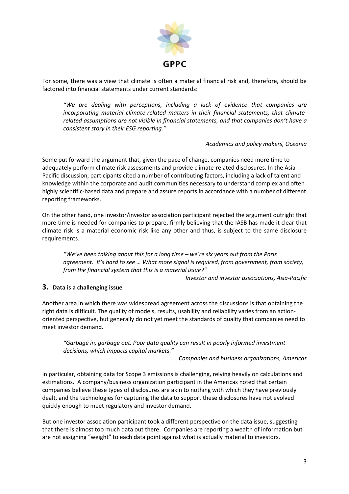

For some, there was a view that climate is often a material financial risk and, therefore, should be factored into financial statements under current standards:

*"We are dealing with perceptions, including a lack of evidence that companies are incorporating material climate-related matters in their financial statements, that climaterelated assumptions are not visible in financial statements, and that companies don't have a consistent story in their ESG reporting."*

*Academics and policy makers, Oceania*

Some put forward the argument that, given the pace of change, companies need more time to adequately perform climate risk assessments and provide climate-related disclosures. In the Asia-Pacific discussion, participants cited a number of contributing factors, including a lack of talent and knowledge within the corporate and audit communities necessary to understand complex and often highly scientific-based data and prepare and assure reports in accordance with a number of different reporting frameworks.

On the other hand, one investor/investor association participant rejected the argument outright that more time is needed for companies to prepare, firmly believing that the IASB has made it clear that climate risk is a material economic risk like any other and thus, is subject to the same disclosure requirements.

*"We've been talking about this for a long time – we're six years out from the Paris agreement. It's hard to see … What more signal is required, from government, from society, from the financial system that this is a material issue?"*

*Investor and investor associations, Asia-Pacific*

#### **3. Data is a challenging issue**

Another area in which there was widespread agreement across the discussions is that obtaining the right data is difficult. The quality of models, results, usability and reliability varies from an actionoriented perspective, but generally do not yet meet the standards of quality that companies need to meet investor demand.

*"Garbage in, garbage out. Poor data quality can result in poorly informed investment decisions, which impacts capital markets."*

*Companies and business organizations, Americas*

In particular, obtaining data for Scope 3 emissions is challenging, relying heavily on calculations and estimations. A company/business organization participant in the Americas noted that certain companies believe these types of disclosures are akin to nothing with which they have previously dealt, and the technologies for capturing the data to support these disclosures have not evolved quickly enough to meet regulatory and investor demand.

But one investor association participant took a different perspective on the data issue, suggesting that there is almost too much data out there. Companies are reporting a wealth of information but are not assigning "weight" to each data point against what is actually material to investors.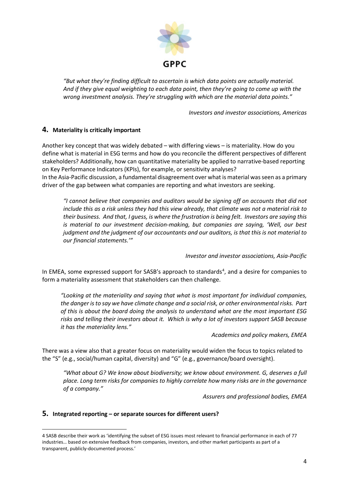

*"But what they're finding difficult to ascertain is which data points are actually material. And if they give equal weighting to each data point, then they're going to come up with the wrong investment analysis. They're struggling with which are the material data points."*

*Investors and investor associations, Americas*

#### **4. Materiality is critically important**

Another key concept that was widely debated – with differing views – is materiality. How do you define what is material in ESG terms and how do you reconcile the different perspectives of different stakeholders? Additionally, how can quantitative materiality be applied to narrative-based reporting on Key Performance Indicators (KPIs), for example, or sensitivity analyses?

In the Asia-Pacific discussion, a fundamental disagreement over what is material was seen as a primary driver of the gap between what companies are reporting and what investors are seeking.

*"I cannot believe that companies and auditors would be signing off on accounts that did not include this as a risk unless they had this view already, that climate was not a material risk to their business. And that, I guess, is where the frustration is being felt. Investors are saying this is material to our investment decision-making, but companies are saying, 'Well, our best judgment and the judgment of our accountants and our auditors, is that this is not material to our financial statements.'"*

*Investor and investor associations, Asia-Pacific*

In EMEA, some expressed support for SASB's approach to standards<sup>[4](#page-5-0)</sup>, and a desire for companies to form a materiality assessment that stakeholders can then challenge.

*"Looking at the materiality and saying that what is most important for individual companies, the danger is to say we have climate change and a social risk, or other environmental risks. Part of this is about the board doing the analysis to understand what are the most important ESG risks and telling their investors about it. Which is why a lot of investors support SASB because it has the materiality lens."*

*Academics and policy makers, EMEA*

There was a view also that a greater focus on materiality would widen the focus to topics related to the "S" (e.g., social/human capital, diversity) and "G" (e.g., governance/board oversight).

*"What about G? We know about biodiversity; we know about environment. G, deserves a full place. Long term risks for companies to highly correlate how many risks are in the governance of a company."*

*Assurers and professional bodies, EMEA*

#### **5. Integrated reporting – or separate sources for different users?**

<span id="page-5-0"></span><sup>4</sup> SASB describe their work as 'identifying the subset of ESG issues most relevant to financial performance in each of 77 industries… based on extensive feedback from companies, investors, and other market participants as part of a transparent, publicly-documented process.'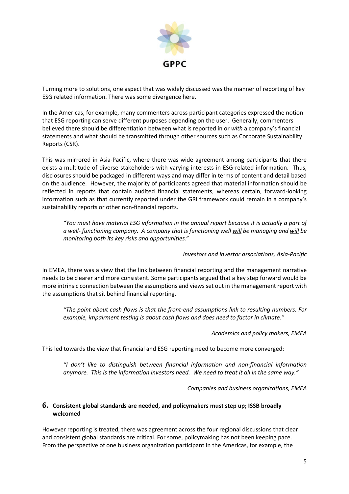

Turning more to solutions, one aspect that was widely discussed was the manner of reporting of key ESG related information. There was some divergence here.

In the Americas, for example, many commenters across participant categories expressed the notion that ESG reporting can serve different purposes depending on the user. Generally, commenters believed there should be differentiation between what is reported in or *with* a company's financial statements and what should be transmitted through other sources such as Corporate Sustainability Reports (CSR).

This was mirrored in Asia-Pacific, where there was wide agreement among participants that there exists a multitude of diverse stakeholders with varying interests in ESG-related information. Thus, disclosures should be packaged in different ways and may differ in terms of content and detail based on the audience. However, the majority of participants agreed that material information should be reflected in reports that contain audited financial statements, whereas certain, forward-looking information such as that currently reported under the GRI framework could remain in a company's sustainability reports or other non-financial reports.

*"You must have material ESG information in the annual report because it is actually a part of a well- functioning company. A company that is functioning well will be managing and will be monitoring both its key risks and opportunities.*"

#### *Investors and investor associations, Asia-Pacific*

In EMEA, there was a view that the link between financial reporting and the management narrative needs to be clearer and more consistent. Some participants argued that a key step forward would be more intrinsic connection between the assumptions and views set out in the management report with the assumptions that sit behind financial reporting.

*"The point about cash flows is that the front-end assumptions link to resulting numbers. For example, impairment testing is about cash flows and does need to factor in climate."*

*Academics and policy makers, EMEA*

This led towards the view that financial and ESG reporting need to become more converged:

*"I don't like to distinguish between financial information and non-financial information anymore. This is the information investors need. We need to treat it all in the same way."*

*Companies and business organizations, EMEA*

#### **6. Consistent global standards are needed, and policymakers must step up; ISSB broadly welcomed**

However reporting is treated, there was agreement across the four regional discussions that clear and consistent global standards are critical. For some, policymaking has not been keeping pace. From the perspective of one business organization participant in the Americas, for example, the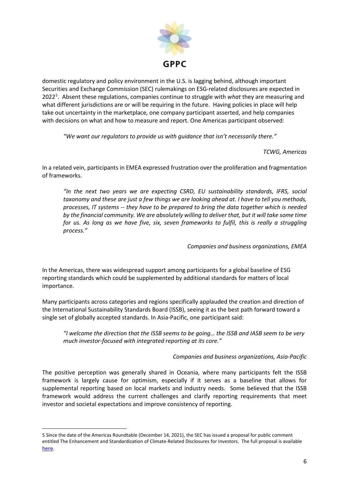

domestic regulatory and policy environment in the U.S. is lagging behind, although important Securities and Exchange Commission (SEC) rulemakings on ESG-related disclosures are expected in 2022<sup>[5](#page-7-0)</sup>. Absent these regulations, companies continue to struggle with what they are measuring and what different jurisdictions are or will be requiring in the future. Having policies in place will help take out uncertainty in the marketplace, one company participant asserted, and help companies with decisions on what and how to measure and report. One Americas participant observed:

*"We want our regulators to provide us with guidance that isn't necessarily there."*

*TCWG, Americas*

In a related vein, participants in EMEA expressed frustration over the proliferation and fragmentation of frameworks.

*"In the next two years we are expecting CSRD, EU sustainability standards, IFRS, social taxonomy and these are just a few things we are looking ahead at. I have to tell you methods, processes, IT systems -- they have to be prepared to bring the data together which is needed by the financial community. We are absolutely willing to deliver that, but it will take some time for us. As long as we have five, six, seven frameworks to fulfil, this is really a struggling process."*

*Companies and business organizations, EMEA*

In the Americas, there was widespread support among participants for a global baseline of ESG reporting standards which could be supplemented by additional standards for matters of local importance.

Many participants across categories and regions specifically applauded the creation and direction of the International Sustainability Standards Board (ISSB), seeing it as the best path forward toward a single set of globally accepted standards. In Asia-Pacific, one participant said:

*"I welcome the direction that the ISSB seems to be going… the ISSB and IASB seem to be very much investor-focused with integrated reporting at its core."*

#### *Companies and business organizations, Asia-Pacific*

The positive perception was generally shared in Oceania, where many participants felt the ISSB framework is largely cause for optimism, especially if it serves as a baseline that allows for supplemental reporting based on local markets and industry needs. Some believed that the ISSB framework would address the current challenges and clarify reporting requirements that meet investor and societal expectations and improve consistency of reporting.

<span id="page-7-0"></span><sup>5</sup> Since the date of the Americas Roundtable (December 14, 2021), the SEC has issued a proposal for public comment entitled The Enhancement and Standardization of Climate-Related Disclosures for Investors. The full proposal is available [here.](https://www.sec.gov/rules/proposed/2022/33-11042.pdf)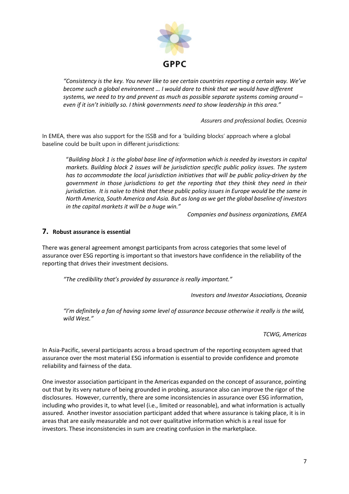

*"Consistency is the key. You never like to see certain countries reporting a certain way. We've become such a global environment … I would dare to think that we would have different systems, we need to try and prevent as much as possible separate systems coming around – even if it isn't initially so. I think governments need to show leadership in this area."* 

*Assurers and professional bodies, Oceania*

In EMEA, there was also support for the ISSB and for a 'building blocks' approach where a global baseline could be built upon in different jurisdictions:

"*Building block 1 is the global base line of information which is needed by investors in capital markets. Building block 2 issues will be jurisdiction specific public policy issues. The system has to accommodate the local jurisdiction initiatives that will be public policy-driven by the government in those jurisdictions to get the reporting that they think they need in their jurisdiction.* It is naïve to think that these public policy issues in Europe would be the same in *North America, South America and Asia. But as long as we get the global baseline of investors in the capital markets it will be a huge win."*

*Companies and business organizations, EMEA*

#### **7. Robust assurance is essential**

There was general agreement amongst participants from across categories that some level of assurance over ESG reporting is important so that investors have confidence in the reliability of the reporting that drives their investment decisions.

*"The credibility that's provided by assurance is really important."*

*Investors and Investor Associations, Oceania*

*"I'm definitely a fan of having some level of assurance because otherwise it really is the wild, wild West."*

*TCWG, Americas* 

In Asia-Pacific, several participants across a broad spectrum of the reporting ecosystem agreed that assurance over the most material ESG information is essential to provide confidence and promote reliability and fairness of the data.

One investor association participant in the Americas expanded on the concept of assurance, pointing out that by its very nature of being grounded in probing, assurance also can improve the rigor of the disclosures. However, currently, there are some inconsistencies in assurance over ESG information, including who provides it, to what level (i.e., limited or reasonable), and what information is actually assured. Another investor association participant added that where assurance is taking place, it is in areas that are easily measurable and not over qualitative information which is a real issue for investors. These inconsistencies in sum are creating confusion in the marketplace.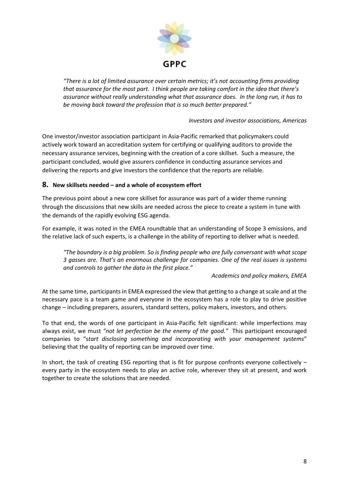

*"There is a lot of limited assurance over certain metrics; it's not accounting firms providing that assurance for the most part. I think people are taking comfort in the idea that there's assurance without really understanding what that assurance does. In the long run, it has to be moving back toward the profession that is so much better prepared."* 

*Investors and investor associations, Americas*

One investor/investor association participant in Asia-Pacific remarked that policymakers could actively work toward an accreditation system for certifying or qualifying auditors to provide the necessary assurance services, beginning with the creation of a core skillset. Such a measure, the participant concluded, would give assurers confidence in conducting assurance services and delivering the reports and give investors the confidence that the reports are reliable.

#### **8. New skillsets needed – and a whole of ecosystem effort**

The previous point about a new core skillset for assurance was part of a wider theme running through the discussions that new skills are needed across the piece to create a system in tune with the demands of the rapidly evolving ESG agenda.

For example, it was noted in the EMEA roundtable that an understanding of Scope 3 emissions, and the relative lack of such experts, is a challenge in the ability of reporting to deliver what is needed.

*"The boundary is a big problem. So is finding people who are fully conversant with what scope 3 gasses are. That's an enormous challenge for companies. One of the real issues is systems and controls to gather the data in the first place."*

#### *Academics and policy makers, EMEA*

At the same time, participants in EMEA expressed the view that getting to a change at scale and at the necessary pace is a team game and everyone in the ecosystem has a role to play to drive positive change – including preparers, assurers, standard setters, policy makers, investors, and others.

To that end, the words of one participant in Asia-Pacific felt significant: while imperfections may always exist, we must *"not let perfection be the enemy of the good."* This participant encouraged companies to "s*tart disclosing something and incorporating with your management systems*" believing that the quality of reporting can be improved over time.

In short, the task of creating ESG reporting that is fit for purpose confronts everyone collectively – every party in the ecosystem needs to play an active role, wherever they sit at present, and work together to create the solutions that are needed.